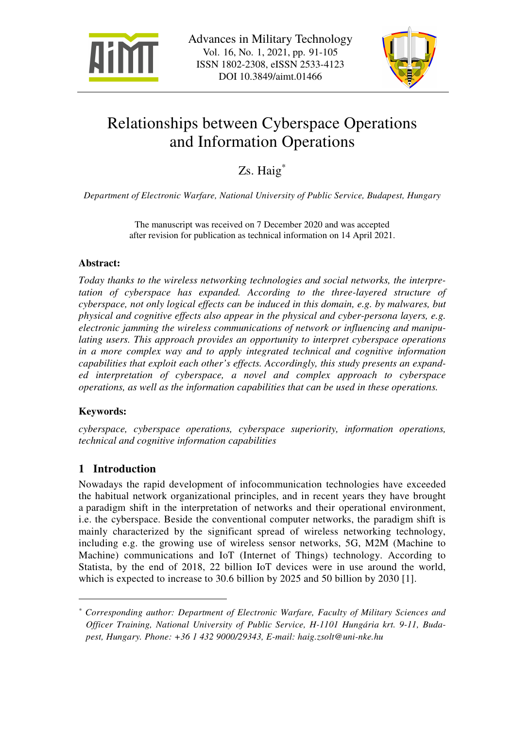



# Relationships between Cyberspace Operations and Information Operations

Zs. Haig<sup>\*</sup>

*Department of Electronic Warfare, National University of Public Service, Budapest, Hungary* 

The manuscript was received on 7 December 2020 and was accepted after revision for publication as technical information on 14 April 2021.

## **Abstract:**

*Today thanks to the wireless networking technologies and social networks, the interpretation of cyberspace has expanded. According to the three-layered structure of cyberspace, not only logical effects can be induced in this domain, e.g. by malwares, but physical and cognitive effects also appear in the physical and cyber-persona layers, e.g. electronic jamming the wireless communications of network or influencing and manipulating users. This approach provides an opportunity to interpret cyberspace operations in a more complex way and to apply integrated technical and cognitive information capabilities that exploit each other's effects. Accordingly, this study presents an expanded interpretation of cyberspace, a novel and complex approach to cyberspace operations, as well as the information capabilities that can be used in these operations.* 

## **Keywords:**

 $\overline{a}$ 

*cyberspace, cyberspace operations, cyberspace superiority, information operations, technical and cognitive information capabilities* 

## **1 Introduction**

Nowadays the rapid development of infocommunication technologies have exceeded the habitual network organizational principles, and in recent years they have brought a paradigm shift in the interpretation of networks and their operational environment, i.e. the cyberspace. Beside the conventional computer networks, the paradigm shift is mainly characterized by the significant spread of wireless networking technology, including e.g. the growing use of wireless sensor networks, 5G, M2M (Machine to Machine) communications and IoT (Internet of Things) technology. According to Statista, by the end of 2018, 22 billion IoT devices were in use around the world, which is expected to increase to 30.6 billion by 2025 and 50 billion by 2030 [1].

*<sup>\*</sup> Corresponding author: Department of Electronic Warfare, Faculty of Military Sciences and Officer Training, National University of Public Service, H-1101 Hungária krt. 9-11, Budapest, Hungary. Phone: +36 1 432 9000/29343, E-mail: haig.zsolt@uni-nke.hu*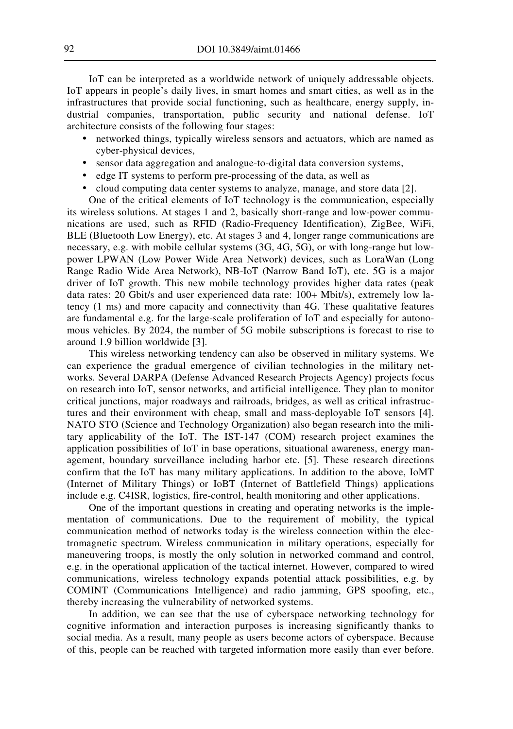IoT can be interpreted as a worldwide network of uniquely addressable objects. IoT appears in people's daily lives, in smart homes and smart cities, as well as in the infrastructures that provide social functioning, such as healthcare, energy supply, industrial companies, transportation, public security and national defense. IoT architecture consists of the following four stages:

- networked things, typically wireless sensors and actuators, which are named as cyber-physical devices,
- sensor data aggregation and analogue-to-digital data conversion systems,
- edge IT systems to perform pre-processing of the data, as well as
- cloud computing data center systems to analyze, manage, and store data [2].

One of the critical elements of IoT technology is the communication, especially its wireless solutions. At stages 1 and 2, basically short-range and low-power communications are used, such as RFID (Radio-Frequency Identification), ZigBee, WiFi, BLE (Bluetooth Low Energy), etc. At stages 3 and 4, longer range communications are necessary, e.g. with mobile cellular systems (3G, 4G, 5G), or with long-range but lowpower LPWAN (Low Power Wide Area Network) devices, such as LoraWan (Long Range Radio Wide Area Network), NB-IoT (Narrow Band IoT), etc. 5G is a major driver of IoT growth. This new mobile technology provides higher data rates (peak data rates: 20 Gbit/s and user experienced data rate: 100+ Mbit/s), extremely low latency (1 ms) and more capacity and connectivity than 4G. These qualitative features are fundamental e.g. for the large-scale proliferation of IoT and especially for autonomous vehicles. By 2024, the number of 5G mobile subscriptions is forecast to rise to around 1.9 billion worldwide [3].

This wireless networking tendency can also be observed in military systems. We can experience the gradual emergence of civilian technologies in the military networks. Several DARPA (Defense Advanced Research Projects Agency) projects focus on research into IoT, sensor networks, and artificial intelligence. They plan to monitor critical junctions, major roadways and railroads, bridges, as well as critical infrastructures and their environment with cheap, small and mass-deployable IoT sensors [4]. NATO STO (Science and Technology Organization) also began research into the military applicability of the IoT. The IST-147 (COM) research project examines the application possibilities of IoT in base operations, situational awareness, energy management, boundary surveillance including harbor etc. [5]. These research directions confirm that the IoT has many military applications. In addition to the above, IoMT (Internet of Military Things) or IoBT (Internet of Battlefield Things) applications include e.g. C4ISR, logistics, fire-control, health monitoring and other applications.

One of the important questions in creating and operating networks is the implementation of communications. Due to the requirement of mobility, the typical communication method of networks today is the wireless connection within the electromagnetic spectrum. Wireless communication in military operations, especially for maneuvering troops, is mostly the only solution in networked command and control, e.g. in the operational application of the tactical internet. However, compared to wired communications, wireless technology expands potential attack possibilities, e.g. by COMINT (Communications Intelligence) and radio jamming, GPS spoofing, etc., thereby increasing the vulnerability of networked systems.

In addition, we can see that the use of cyberspace networking technology for cognitive information and interaction purposes is increasing significantly thanks to social media. As a result, many people as users become actors of cyberspace. Because of this, people can be reached with targeted information more easily than ever before.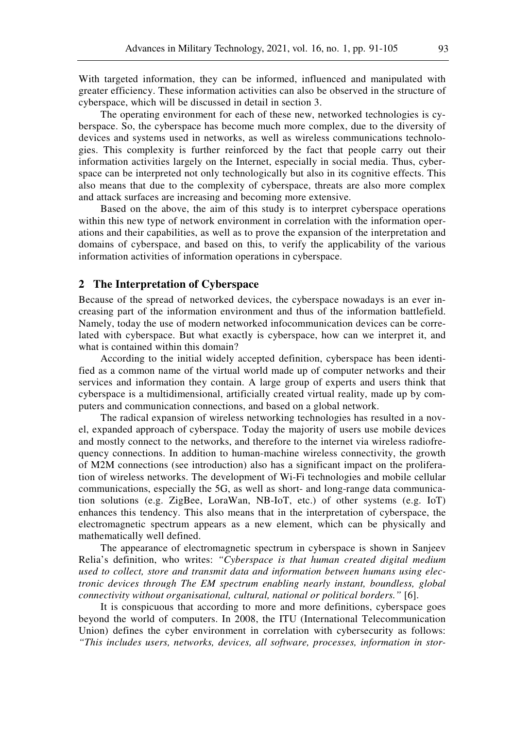With targeted information, they can be informed, influenced and manipulated with greater efficiency. These information activities can also be observed in the structure of cyberspace, which will be discussed in detail in section 3.

The operating environment for each of these new, networked technologies is cyberspace. So, the cyberspace has become much more complex, due to the diversity of devices and systems used in networks, as well as wireless communications technologies. This complexity is further reinforced by the fact that people carry out their information activities largely on the Internet, especially in social media. Thus, cyberspace can be interpreted not only technologically but also in its cognitive effects. This also means that due to the complexity of cyberspace, threats are also more complex and attack surfaces are increasing and becoming more extensive.

Based on the above, the aim of this study is to interpret cyberspace operations within this new type of network environment in correlation with the information operations and their capabilities, as well as to prove the expansion of the interpretation and domains of cyberspace, and based on this, to verify the applicability of the various information activities of information operations in cyberspace.

#### **2 The Interpretation of Cyberspace**

Because of the spread of networked devices, the cyberspace nowadays is an ever increasing part of the information environment and thus of the information battlefield. Namely, today the use of modern networked infocommunication devices can be correlated with cyberspace. But what exactly is cyberspace, how can we interpret it, and what is contained within this domain?

According to the initial widely accepted definition, cyberspace has been identified as a common name of the virtual world made up of computer networks and their services and information they contain. A large group of experts and users think that cyberspace is a multidimensional, artificially created virtual reality, made up by computers and communication connections, and based on a global network.

The radical expansion of wireless networking technologies has resulted in a novel, expanded approach of cyberspace. Today the majority of users use mobile devices and mostly connect to the networks, and therefore to the internet via wireless radiofrequency connections. In addition to human-machine wireless connectivity, the growth of M2M connections (see introduction) also has a significant impact on the proliferation of wireless networks. The development of Wi-Fi technologies and mobile cellular communications, especially the 5G, as well as short- and long-range data communication solutions (e.g. ZigBee, LoraWan, NB-IoT, etc.) of other systems (e.g. IoT) enhances this tendency. This also means that in the interpretation of cyberspace, the electromagnetic spectrum appears as a new element, which can be physically and mathematically well defined.

The appearance of electromagnetic spectrum in cyberspace is shown in Sanjeev Relia's definition, who writes: *"Cyberspace is that human created digital medium used to collect, store and transmit data and information between humans using electronic devices through The EM spectrum enabling nearly instant, boundless, global connectivity without organisational, cultural, national or political borders."* [6].

It is conspicuous that according to more and more definitions, cyberspace goes beyond the world of computers. In 2008, the ITU (International Telecommunication Union) defines the cyber environment in correlation with cybersecurity as follows: *"This includes users, networks, devices, all software, processes, information in stor-*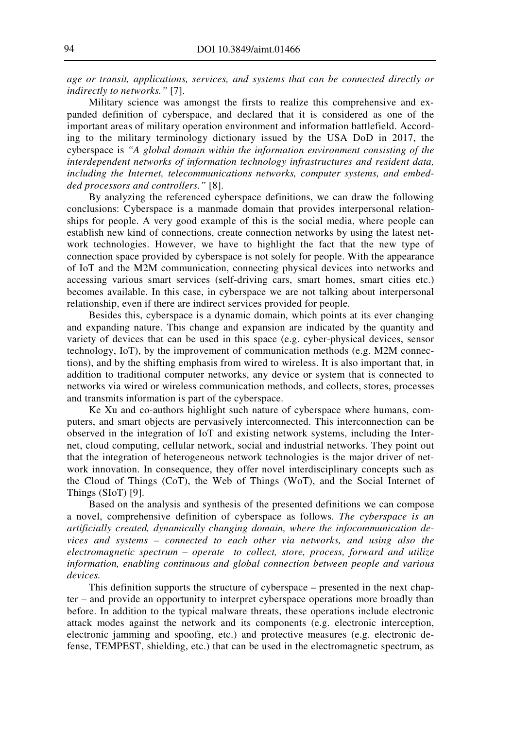*age or transit, applications, services, and systems that can be connected directly or indirectly to networks."* [7].

Military science was amongst the firsts to realize this comprehensive and expanded definition of cyberspace, and declared that it is considered as one of the important areas of military operation environment and information battlefield. According to the military terminology dictionary issued by the USA DoD in 2017, the cyberspace is *"A global domain within the information environment consisting of the interdependent networks of information technology infrastructures and resident data, including the Internet, telecommunications networks, computer systems, and embedded processors and controllers."* [8].

By analyzing the referenced cyberspace definitions, we can draw the following conclusions: Cyberspace is a manmade domain that provides interpersonal relationships for people. A very good example of this is the social media, where people can establish new kind of connections, create connection networks by using the latest network technologies. However, we have to highlight the fact that the new type of connection space provided by cyberspace is not solely for people. With the appearance of IoT and the M2M communication, connecting physical devices into networks and accessing various smart services (self-driving cars, smart homes, smart cities etc.) becomes available. In this case, in cyberspace we are not talking about interpersonal relationship, even if there are indirect services provided for people.

Besides this, cyberspace is a dynamic domain, which points at its ever changing and expanding nature. This change and expansion are indicated by the quantity and variety of devices that can be used in this space (e.g. cyber-physical devices, sensor technology, IoT), by the improvement of communication methods (e.g. M2M connections), and by the shifting emphasis from wired to wireless. It is also important that, in addition to traditional computer networks, any device or system that is connected to networks via wired or wireless communication methods, and collects, stores, processes and transmits information is part of the cyberspace.

Ke Xu and co-authors highlight such nature of cyberspace where humans, computers, and smart objects are pervasively interconnected. This interconnection can be observed in the integration of IoT and existing network systems, including the Internet, cloud computing, cellular network, social and industrial networks. They point out that the integration of heterogeneous network technologies is the major driver of network innovation. In consequence, they offer novel interdisciplinary concepts such as the Cloud of Things (CoT), the Web of Things (WoT), and the Social Internet of Things (SIoT) [9].

Based on the analysis and synthesis of the presented definitions we can compose a novel, comprehensive definition of cyberspace as follows. *The cyberspace is an artificially created, dynamically changing domain, where the infocommunication devices and systems – connected to each other via networks, and using also the electromagnetic spectrum – operate to collect, store, process, forward and utilize information, enabling continuous and global connection between people and various devices.*

This definition supports the structure of cyberspace – presented in the next chapter – and provide an opportunity to interpret cyberspace operations more broadly than before. In addition to the typical malware threats, these operations include electronic attack modes against the network and its components (e.g. electronic interception, electronic jamming and spoofing, etc.) and protective measures (e.g. electronic defense, TEMPEST, shielding, etc.) that can be used in the electromagnetic spectrum, as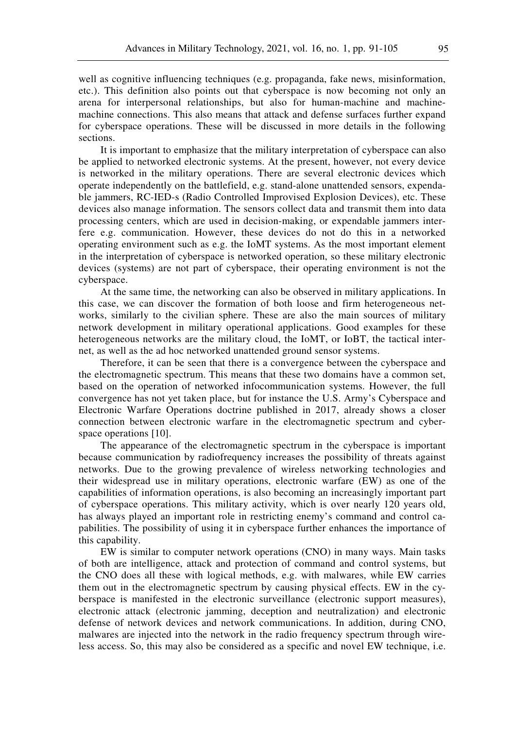well as cognitive influencing techniques (e.g. propaganda, fake news, misinformation, etc.). This definition also points out that cyberspace is now becoming not only an arena for interpersonal relationships, but also for human-machine and machinemachine connections. This also means that attack and defense surfaces further expand for cyberspace operations. These will be discussed in more details in the following sections.

It is important to emphasize that the military interpretation of cyberspace can also be applied to networked electronic systems. At the present, however, not every device is networked in the military operations. There are several electronic devices which operate independently on the battlefield, e.g. stand-alone unattended sensors, expendable jammers, RC-IED-s (Radio Controlled Improvised Explosion Devices), etc. These devices also manage information. The sensors collect data and transmit them into data processing centers, which are used in decision-making, or expendable jammers interfere e.g. communication. However, these devices do not do this in a networked operating environment such as e.g. the IoMT systems. As the most important element in the interpretation of cyberspace is networked operation, so these military electronic devices (systems) are not part of cyberspace, their operating environment is not the cyberspace.

At the same time, the networking can also be observed in military applications. In this case, we can discover the formation of both loose and firm heterogeneous networks, similarly to the civilian sphere. These are also the main sources of military network development in military operational applications. Good examples for these heterogeneous networks are the military cloud, the IoMT, or IoBT, the tactical internet, as well as the ad hoc networked unattended ground sensor systems.

Therefore, it can be seen that there is a convergence between the cyberspace and the electromagnetic spectrum. This means that these two domains have a common set, based on the operation of networked infocommunication systems. However, the full convergence has not yet taken place, but for instance the U.S. Army's Cyberspace and Electronic Warfare Operations doctrine published in 2017, already shows a closer connection between electronic warfare in the electromagnetic spectrum and cyberspace operations [10].

The appearance of the electromagnetic spectrum in the cyberspace is important because communication by radiofrequency increases the possibility of threats against networks. Due to the growing prevalence of wireless networking technologies and their widespread use in military operations, electronic warfare (EW) as one of the capabilities of information operations, is also becoming an increasingly important part of cyberspace operations. This military activity, which is over nearly 120 years old, has always played an important role in restricting enemy's command and control capabilities. The possibility of using it in cyberspace further enhances the importance of this capability.

EW is similar to computer network operations (CNO) in many ways. Main tasks of both are intelligence, attack and protection of command and control systems, but the CNO does all these with logical methods, e.g. with malwares, while EW carries them out in the electromagnetic spectrum by causing physical effects. EW in the cyberspace is manifested in the electronic surveillance (electronic support measures), electronic attack (electronic jamming, deception and neutralization) and electronic defense of network devices and network communications. In addition, during CNO, malwares are injected into the network in the radio frequency spectrum through wireless access. So, this may also be considered as a specific and novel EW technique, i.e.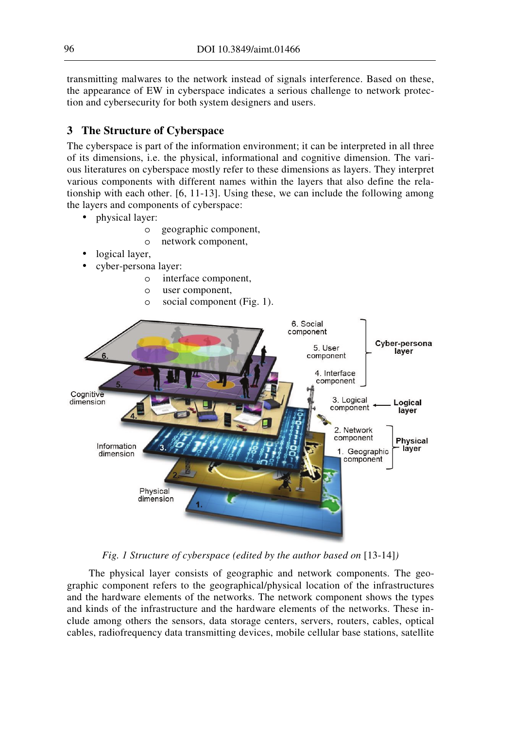transmitting malwares to the network instead of signals interference. Based on these, the appearance of EW in cyberspace indicates a serious challenge to network protection and cybersecurity for both system designers and users.

## **3 The Structure of Cyberspace**

The cyberspace is part of the information environment; it can be interpreted in all three of its dimensions, i.e. the physical, informational and cognitive dimension. The various literatures on cyberspace mostly refer to these dimensions as layers. They interpret various components with different names within the layers that also define the relationship with each other. [6, 11-13]. Using these, we can include the following among the layers and components of cyberspace:

- physical layer:
	- o geographic component,
	- o network component,
- logical layer,
- cyber-persona layer:
	- o interface component,
	- o user component,
	- o social component (Fig. 1).



*Fig. 1 Structure of cyberspace (edited by the author based on* [13-14]*)* 

The physical layer consists of geographic and network components. The geographic component refers to the geographical/physical location of the infrastructures and the hardware elements of the networks. The network component shows the types and kinds of the infrastructure and the hardware elements of the networks. These include among others the sensors, data storage centers, servers, routers, cables, optical cables, radiofrequency data transmitting devices, mobile cellular base stations, satellite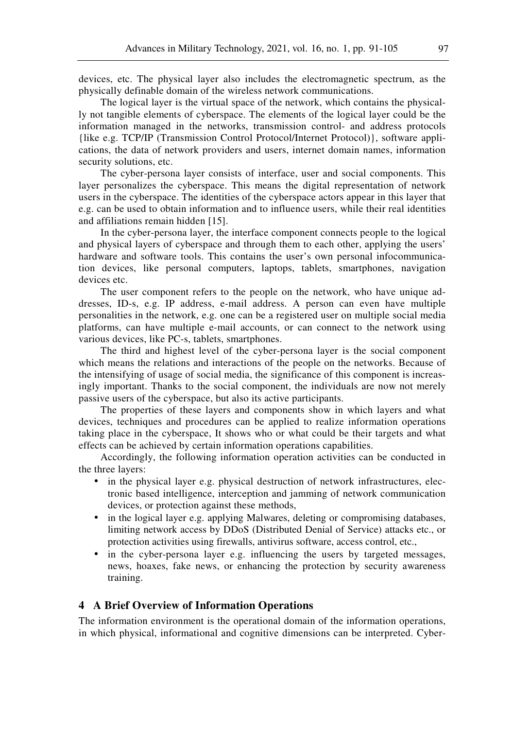devices, etc. The physical layer also includes the electromagnetic spectrum, as the physically definable domain of the wireless network communications.

The logical layer is the virtual space of the network, which contains the physically not tangible elements of cyberspace. The elements of the logical layer could be the information managed in the networks, transmission control- and address protocols {like e.g. TCP/IP (Transmission Control Protocol/Internet Protocol)}, software applications, the data of network providers and users, internet domain names, information security solutions, etc.

The cyber-persona layer consists of interface, user and social components. This layer personalizes the cyberspace. This means the digital representation of network users in the cyberspace. The identities of the cyberspace actors appear in this layer that e.g. can be used to obtain information and to influence users, while their real identities and affiliations remain hidden [15].

In the cyber-persona layer, the interface component connects people to the logical and physical layers of cyberspace and through them to each other, applying the users' hardware and software tools. This contains the user's own personal infocommunication devices, like personal computers, laptops, tablets, smartphones, navigation devices etc.

The user component refers to the people on the network, who have unique addresses, ID-s, e.g. IP address, e-mail address. A person can even have multiple personalities in the network, e.g. one can be a registered user on multiple social media platforms, can have multiple e-mail accounts, or can connect to the network using various devices, like PC-s, tablets, smartphones.

The third and highest level of the cyber-persona layer is the social component which means the relations and interactions of the people on the networks. Because of the intensifying of usage of social media, the significance of this component is increasingly important. Thanks to the social component, the individuals are now not merely passive users of the cyberspace, but also its active participants.

The properties of these layers and components show in which layers and what devices, techniques and procedures can be applied to realize information operations taking place in the cyberspace, It shows who or what could be their targets and what effects can be achieved by certain information operations capabilities.

Accordingly, the following information operation activities can be conducted in the three layers:

- in the physical layer e.g. physical destruction of network infrastructures, electronic based intelligence, interception and jamming of network communication devices, or protection against these methods,
- in the logical layer e.g. applying Malwares, deleting or compromising databases, limiting network access by DDoS (Distributed Denial of Service) attacks etc., or protection activities using firewalls, antivirus software, access control, etc.,
- in the cyber-persona layer e.g. influencing the users by targeted messages, news, hoaxes, fake news, or enhancing the protection by security awareness training.

#### **4 A Brief Overview of Information Operations**

The information environment is the operational domain of the information operations, in which physical, informational and cognitive dimensions can be interpreted. Cyber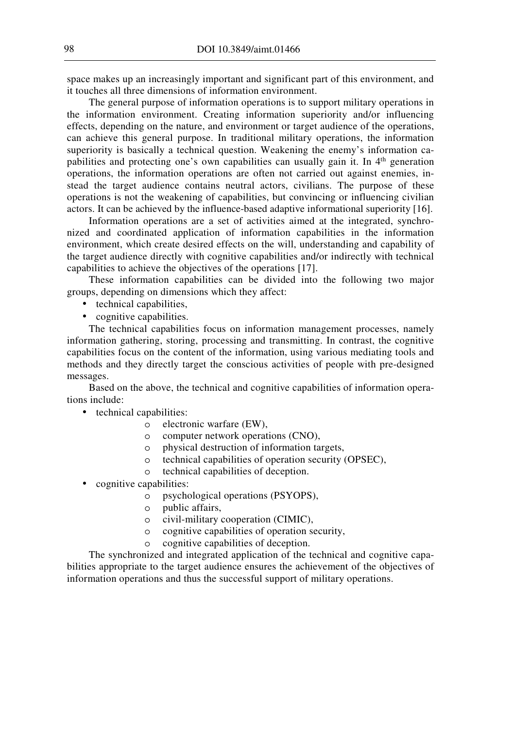space makes up an increasingly important and significant part of this environment, and it touches all three dimensions of information environment.

The general purpose of information operations is to support military operations in the information environment. Creating information superiority and/or influencing effects, depending on the nature, and environment or target audience of the operations, can achieve this general purpose. In traditional military operations, the information superiority is basically a technical question. Weakening the enemy's information capabilities and protecting one's own capabilities can usually gain it. In 4<sup>th</sup> generation operations, the information operations are often not carried out against enemies, instead the target audience contains neutral actors, civilians. The purpose of these operations is not the weakening of capabilities, but convincing or influencing civilian actors. It can be achieved by the influence-based adaptive informational superiority [16].

Information operations are a set of activities aimed at the integrated, synchronized and coordinated application of information capabilities in the information environment, which create desired effects on the will, understanding and capability of the target audience directly with cognitive capabilities and/or indirectly with technical capabilities to achieve the objectives of the operations [17].

These information capabilities can be divided into the following two major groups, depending on dimensions which they affect:

- technical capabilities,
- cognitive capabilities.

The technical capabilities focus on information management processes, namely information gathering, storing, processing and transmitting. In contrast, the cognitive capabilities focus on the content of the information, using various mediating tools and methods and they directly target the conscious activities of people with pre-designed messages.

Based on the above, the technical and cognitive capabilities of information operations include:

- technical capabilities:
	- o electronic warfare (EW),
	- o computer network operations (CNO),
	- o physical destruction of information targets,
	- o technical capabilities of operation security (OPSEC),
	- o technical capabilities of deception.
- cognitive capabilities:
	- o psychological operations (PSYOPS),
	- o public affairs,
	- o civil-military cooperation (CIMIC),
	- o cognitive capabilities of operation security,
	- o cognitive capabilities of deception.

The synchronized and integrated application of the technical and cognitive capabilities appropriate to the target audience ensures the achievement of the objectives of information operations and thus the successful support of military operations.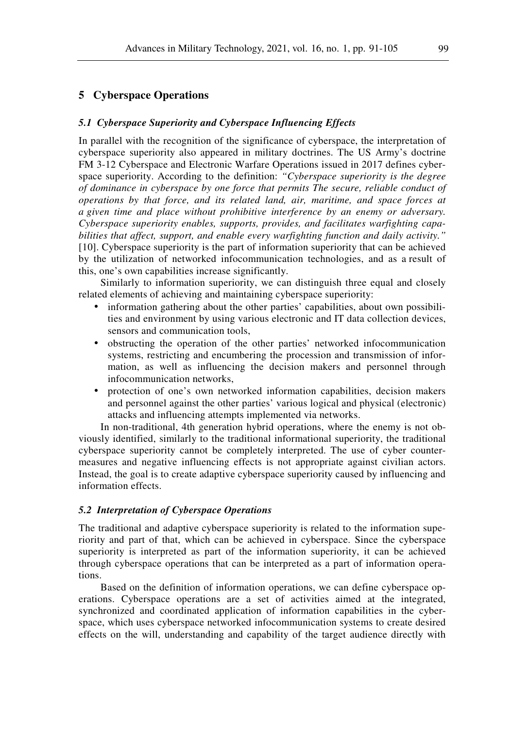## **5 Cyberspace Operations**

#### *5.1 Cyberspace Superiority and Cyberspace Influencing Effects*

In parallel with the recognition of the significance of cyberspace, the interpretation of cyberspace superiority also appeared in military doctrines. The US Army's doctrine FM 3-12 Cyberspace and Electronic Warfare Operations issued in 2017 defines cyberspace superiority. According to the definition: *"Cyberspace superiority is the degree of dominance in cyberspace by one force that permits The secure, reliable conduct of operations by that force, and its related land, air, maritime, and space forces at a given time and place without prohibitive interference by an enemy or adversary. Cyberspace superiority enables, supports, provides, and facilitates warfighting capabilities that affect, support, and enable every warfighting function and daily activity."* [10]. Cyberspace superiority is the part of information superiority that can be achieved by the utilization of networked infocommunication technologies, and as a result of this, one's own capabilities increase significantly.

Similarly to information superiority, we can distinguish three equal and closely related elements of achieving and maintaining cyberspace superiority:

- information gathering about the other parties' capabilities, about own possibilities and environment by using various electronic and IT data collection devices, sensors and communication tools,
- obstructing the operation of the other parties' networked infocommunication systems, restricting and encumbering the procession and transmission of information, as well as influencing the decision makers and personnel through infocommunication networks,
- protection of one's own networked information capabilities, decision makers and personnel against the other parties' various logical and physical (electronic) attacks and influencing attempts implemented via networks.

In non-traditional, 4th generation hybrid operations, where the enemy is not obviously identified, similarly to the traditional informational superiority, the traditional cyberspace superiority cannot be completely interpreted. The use of cyber countermeasures and negative influencing effects is not appropriate against civilian actors. Instead, the goal is to create adaptive cyberspace superiority caused by influencing and information effects.

#### *5.2 Interpretation of Cyberspace Operations*

The traditional and adaptive cyberspace superiority is related to the information superiority and part of that, which can be achieved in cyberspace. Since the cyberspace superiority is interpreted as part of the information superiority, it can be achieved through cyberspace operations that can be interpreted as a part of information operations.

Based on the definition of information operations, we can define cyberspace operations. Cyberspace operations are a set of activities aimed at the integrated, synchronized and coordinated application of information capabilities in the cyberspace, which uses cyberspace networked infocommunication systems to create desired effects on the will, understanding and capability of the target audience directly with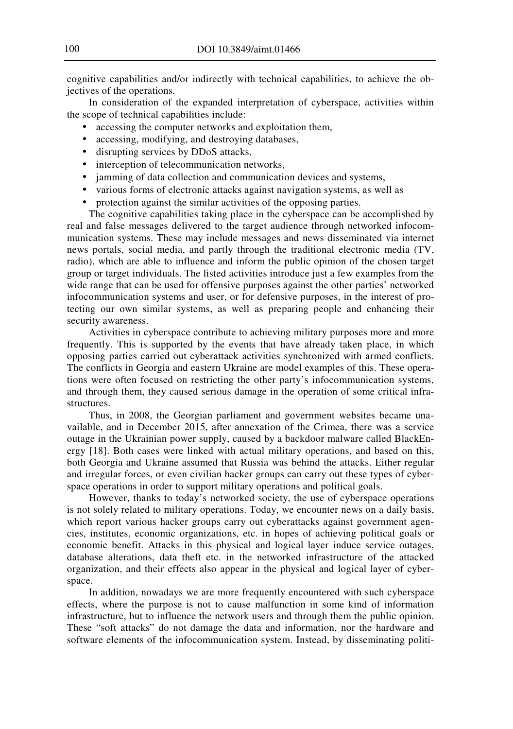cognitive capabilities and/or indirectly with technical capabilities, to achieve the objectives of the operations.

In consideration of the expanded interpretation of cyberspace, activities within the scope of technical capabilities include:

- accessing the computer networks and exploitation them,
- accessing, modifying, and destroying databases,
- disrupting services by DDoS attacks,
- interception of telecommunication networks,
- jamming of data collection and communication devices and systems,
- various forms of electronic attacks against navigation systems, as well as
- protection against the similar activities of the opposing parties.

The cognitive capabilities taking place in the cyberspace can be accomplished by real and false messages delivered to the target audience through networked infocommunication systems. These may include messages and news disseminated via internet news portals, social media, and partly through the traditional electronic media (TV, radio), which are able to influence and inform the public opinion of the chosen target group or target individuals. The listed activities introduce just a few examples from the wide range that can be used for offensive purposes against the other parties' networked infocommunication systems and user, or for defensive purposes, in the interest of protecting our own similar systems, as well as preparing people and enhancing their security awareness.

Activities in cyberspace contribute to achieving military purposes more and more frequently. This is supported by the events that have already taken place, in which opposing parties carried out cyberattack activities synchronized with armed conflicts. The conflicts in Georgia and eastern Ukraine are model examples of this. These operations were often focused on restricting the other party's infocommunication systems, and through them, they caused serious damage in the operation of some critical infrastructures.

Thus, in 2008, the Georgian parliament and government websites became unavailable, and in December 2015, after annexation of the Crimea, there was a service outage in the Ukrainian power supply, caused by a backdoor malware called BlackEnergy [18]. Both cases were linked with actual military operations, and based on this, both Georgia and Ukraine assumed that Russia was behind the attacks. Either regular and irregular forces, or even civilian hacker groups can carry out these types of cyberspace operations in order to support military operations and political goals.

However, thanks to today's networked society, the use of cyberspace operations is not solely related to military operations. Today, we encounter news on a daily basis, which report various hacker groups carry out cyberattacks against government agencies, institutes, economic organizations, etc. in hopes of achieving political goals or economic benefit. Attacks in this physical and logical layer induce service outages, database alterations, data theft etc. in the networked infrastructure of the attacked organization, and their effects also appear in the physical and logical layer of cyberspace.

In addition, nowadays we are more frequently encountered with such cyberspace effects, where the purpose is not to cause malfunction in some kind of information infrastructure, but to influence the network users and through them the public opinion. These "soft attacks" do not damage the data and information, nor the hardware and software elements of the infocommunication system. Instead, by disseminating politi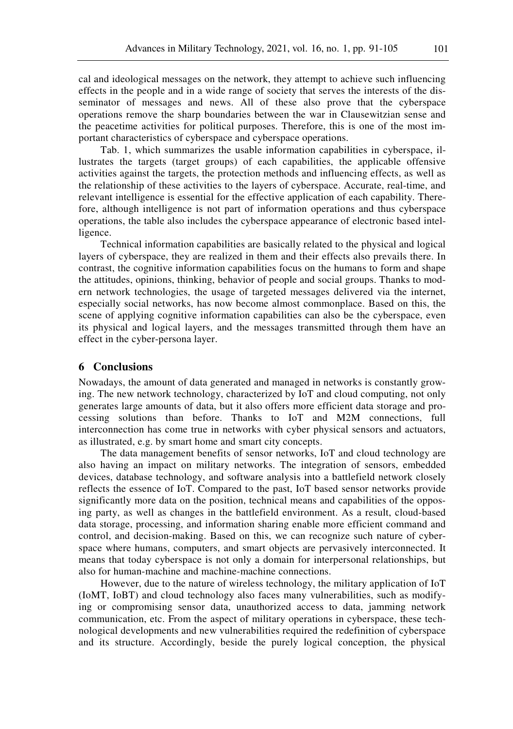cal and ideological messages on the network, they attempt to achieve such influencing effects in the people and in a wide range of society that serves the interests of the disseminator of messages and news. All of these also prove that the cyberspace operations remove the sharp boundaries between the war in Clausewitzian sense and the peacetime activities for political purposes. Therefore, this is one of the most important characteristics of cyberspace and cyberspace operations.

Tab. 1, which summarizes the usable information capabilities in cyberspace, illustrates the targets (target groups) of each capabilities, the applicable offensive activities against the targets, the protection methods and influencing effects, as well as the relationship of these activities to the layers of cyberspace. Accurate, real-time, and relevant intelligence is essential for the effective application of each capability. Therefore, although intelligence is not part of information operations and thus cyberspace operations, the table also includes the cyberspace appearance of electronic based intelligence.

Technical information capabilities are basically related to the physical and logical layers of cyberspace, they are realized in them and their effects also prevails there. In contrast, the cognitive information capabilities focus on the humans to form and shape the attitudes, opinions, thinking, behavior of people and social groups. Thanks to modern network technologies, the usage of targeted messages delivered via the internet, especially social networks, has now become almost commonplace. Based on this, the scene of applying cognitive information capabilities can also be the cyberspace, even its physical and logical layers, and the messages transmitted through them have an effect in the cyber-persona layer.

#### **6 Conclusions**

Nowadays, the amount of data generated and managed in networks is constantly growing. The new network technology, characterized by IoT and cloud computing, not only generates large amounts of data, but it also offers more efficient data storage and processing solutions than before. Thanks to IoT and M2M connections, full interconnection has come true in networks with cyber physical sensors and actuators, as illustrated, e.g. by smart home and smart city concepts.

The data management benefits of sensor networks, IoT and cloud technology are also having an impact on military networks. The integration of sensors, embedded devices, database technology, and software analysis into a battlefield network closely reflects the essence of IoT. Compared to the past, IoT based sensor networks provide significantly more data on the position, technical means and capabilities of the opposing party, as well as changes in the battlefield environment. As a result, cloud-based data storage, processing, and information sharing enable more efficient command and control, and decision-making. Based on this, we can recognize such nature of cyberspace where humans, computers, and smart objects are pervasively interconnected. It means that today cyberspace is not only a domain for interpersonal relationships, but also for human-machine and machine-machine connections.

However, due to the nature of wireless technology, the military application of IoT (IoMT, IoBT) and cloud technology also faces many vulnerabilities, such as modifying or compromising sensor data, unauthorized access to data, jamming network communication, etc. From the aspect of military operations in cyberspace, these technological developments and new vulnerabilities required the redefinition of cyberspace and its structure. Accordingly, beside the purely logical conception, the physical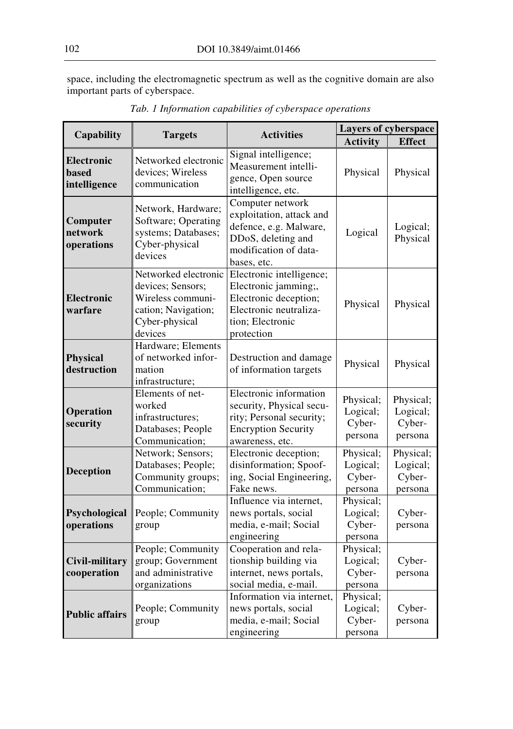space, including the electromagnetic spectrum as well as the cognitive domain are also important parts of cyberspace.

| <b>Capability</b>                          | <b>Targets</b>                                                                                                     | <b>Activities</b>                                                                                                                     | <b>Layers of cyberspace</b>                |                                            |
|--------------------------------------------|--------------------------------------------------------------------------------------------------------------------|---------------------------------------------------------------------------------------------------------------------------------------|--------------------------------------------|--------------------------------------------|
|                                            |                                                                                                                    |                                                                                                                                       | <b>Activity</b>                            | <b>Effect</b>                              |
| Electronic<br><b>based</b><br>intelligence | Networked electronic<br>devices; Wireless<br>communication                                                         | Signal intelligence;<br>Measurement intelli-<br>gence, Open source<br>intelligence, etc.                                              | Physical                                   | Physical                                   |
| Computer<br>network<br>operations          | Network, Hardware;<br>Software; Operating<br>systems; Databases;<br>Cyber-physical<br>devices                      | Computer network<br>exploitation, attack and<br>defence, e.g. Malware,<br>DDoS, deleting and<br>modification of data-<br>bases, etc.  | Logical                                    | Logical;<br>Physical                       |
| <b>Electronic</b><br>warfare               | Networked electronic<br>devices; Sensors;<br>Wireless communi-<br>cation; Navigation;<br>Cyber-physical<br>devices | Electronic intelligence;<br>Electronic jamming;,<br>Electronic deception;<br>Electronic neutraliza-<br>tion; Electronic<br>protection | Physical                                   | Physical                                   |
| <b>Physical</b><br>destruction             | Hardware; Elements<br>of networked infor-<br>mation<br>infrastructure;                                             | Destruction and damage<br>of information targets                                                                                      | Physical                                   | Physical                                   |
| Operation<br>security                      | Elements of net-<br>worked<br>infrastructures;<br>Databases; People<br>Communication;                              | Electronic information<br>security, Physical secu-<br>rity; Personal security;<br><b>Encryption Security</b><br>awareness, etc.       | Physical;<br>Logical;<br>Cyber-<br>persona | Physical;<br>Logical;<br>Cyber-<br>persona |
| <b>Deception</b>                           | Network; Sensors;<br>Databases; People;<br>Community groups;<br>Communication;                                     | Electronic deception;<br>disinformation; Spoof-<br>ing, Social Engineering,<br>Fake news.                                             | Physical;<br>Logical;<br>Cyber-<br>persona | Physical;<br>Logical;<br>Cyber-<br>persona |
| Psychological<br>operations                | People; Community<br>group                                                                                         | Influence via internet,<br>news portals, social<br>media, e-mail; Social<br>engineering                                               | Physical;<br>Logical;<br>Cyber-<br>persona | Cyber-<br>persona                          |
| Civil-military<br>cooperation              | People; Community<br>group; Government<br>and administrative<br>organizations                                      | Cooperation and rela-<br>tionship building via<br>internet, news portals,<br>social media, e-mail.                                    | Physical;<br>Logical;<br>Cyber-<br>persona | Cyber-<br>persona                          |
| <b>Public affairs</b>                      | People; Community<br>group                                                                                         | Information via internet,<br>news portals, social<br>media, e-mail; Social<br>engineering                                             | Physical;<br>Logical;<br>Cyber-<br>persona | Cyber-<br>persona                          |

*Tab. 1 Information capabilities of cyberspace operations*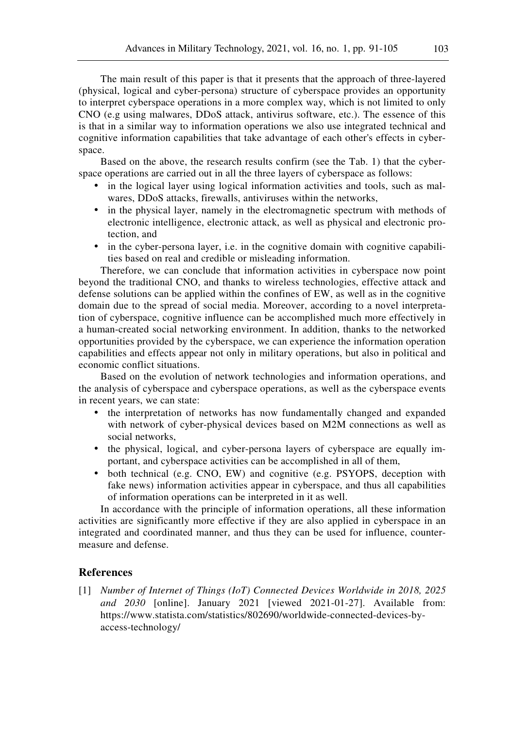The main result of this paper is that it presents that the approach of three-layered (physical, logical and cyber-persona) structure of cyberspace provides an opportunity to interpret cyberspace operations in a more complex way, which is not limited to only CNO (e.g using malwares, DDoS attack, antivirus software, etc.). The essence of this is that in a similar way to information operations we also use integrated technical and cognitive information capabilities that take advantage of each other's effects in cyberspace.

Based on the above, the research results confirm (see the Tab. 1) that the cyberspace operations are carried out in all the three layers of cyberspace as follows:

- in the logical layer using logical information activities and tools, such as malwares, DDoS attacks, firewalls, antiviruses within the networks,
- in the physical layer, namely in the electromagnetic spectrum with methods of electronic intelligence, electronic attack, as well as physical and electronic protection, and
- in the cyber-persona layer, i.e. in the cognitive domain with cognitive capabilities based on real and credible or misleading information.

Therefore, we can conclude that information activities in cyberspace now point beyond the traditional CNO, and thanks to wireless technologies, effective attack and defense solutions can be applied within the confines of EW, as well as in the cognitive domain due to the spread of social media. Moreover, according to a novel interpretation of cyberspace, cognitive influence can be accomplished much more effectively in a human-created social networking environment. In addition, thanks to the networked opportunities provided by the cyberspace, we can experience the information operation capabilities and effects appear not only in military operations, but also in political and economic conflict situations.

Based on the evolution of network technologies and information operations, and the analysis of cyberspace and cyberspace operations, as well as the cyberspace events in recent years, we can state:

- the interpretation of networks has now fundamentally changed and expanded with network of cyber-physical devices based on M2M connections as well as social networks,
- the physical, logical, and cyber-persona layers of cyberspace are equally important, and cyberspace activities can be accomplished in all of them,
- both technical (e.g. CNO, EW) and cognitive (e.g. PSYOPS, deception with fake news) information activities appear in cyberspace, and thus all capabilities of information operations can be interpreted in it as well.

In accordance with the principle of information operations, all these information activities are significantly more effective if they are also applied in cyberspace in an integrated and coordinated manner, and thus they can be used for influence, countermeasure and defense.

### **References**

[1] *Number of Internet of Things (IoT) Connected Devices Worldwide in 2018, 2025 and 2030* [online]. January 2021 [viewed 2021-01-27]. Available from: https://www.statista.com/statistics/802690/worldwide-connected-devices-byaccess-technology/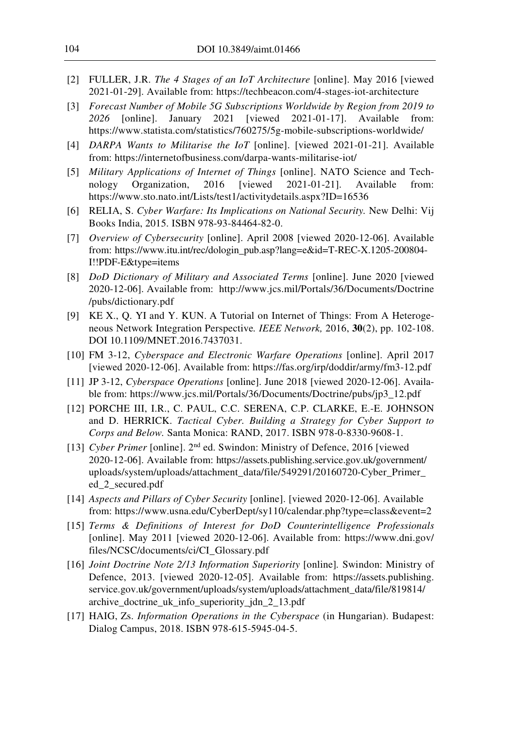- [2] FULLER, J.R. *The 4 Stages of an IoT Architecture* [online]. May 2016 [viewed 2021-01-29]. Available from: https://techbeacon.com/4-stages-iot-architecture
- [3] *Forecast Number of Mobile 5G Subscriptions Worldwide by Region from 2019 to 2026* [online]. January 2021 [viewed 2021-01-17]. Available from: https://www.statista.com/statistics/760275/5g-mobile-subscriptions-worldwide/
- [4] *DARPA Wants to Militarise the IoT* [online]. [viewed 2021-01-21]. Available from: https://internetofbusiness.com/darpa-wants-militarise-iot/
- [5] *Military Applications of Internet of Things* [online]. NATO Science and Technology Organization, 2016 [viewed 2021-01-21]. Available from: https://www.sto.nato.int/Lists/test1/activitydetails.aspx?ID=16536
- [6] RELIA, S. *Cyber Warfare: Its Implications on National Security.* New Delhi: Vij Books India, 2015. ISBN 978-93-84464-82-0.
- [7] *Overview of Cybersecurity* [online]. April 2008 [viewed 2020-12-06]. Available from: https://www.itu.int/rec/dologin\_pub.asp?lang=e&id=T-REC-X.1205-200804- I!!PDF-E&type=items
- [8] *DoD Dictionary of Military and Associated Terms* [online]. June 2020 [viewed 2020-12-06]. Available from: http://www.jcs.mil/Portals/36/Documents/Doctrine /pubs/dictionary.pdf
- [9] KE X., Q. YI and Y. KUN. A Tutorial on Internet of Things: From A Heterogeneous Network Integration Perspective*. IEEE Network,* 2016, **30**(2), pp. 102-108. DOI 10.1109/MNET.2016.7437031.
- [10] FM 3-12, *Cyberspace and Electronic Warfare Operations* [online]. April 2017 [viewed 2020-12-06]. Available from: https://fas.org/irp/doddir/army/fm3-12.pdf
- [11] JP 3-12, *Cyberspace Operations* [online]. June 2018 [viewed 2020-12-06]. Available from: https://www.jcs.mil/Portals/36/Documents/Doctrine/pubs/jp3\_12.pdf
- [12] PORCHE III, I.R., C. PAUL, C.C. SERENA, C.P. CLARKE, E.-E. JOHNSON and D. HERRICK. *Tactical Cyber. Building a Strategy for Cyber Support to Corps and Below.* Santa Monica: RAND, 2017. ISBN 978-0-8330-9608-1.
- [13] *Cyber Primer* [online]. 2nd ed. Swindon: Ministry of Defence, 2016 [viewed 2020-12-06]. Available from: https://assets.publishing.service.gov.uk/government/ uploads/system/uploads/attachment\_data/file/549291/20160720-Cyber\_Primer\_ ed\_2\_secured.pdf
- [14] *Aspects and Pillars of Cyber Security* [online]. [viewed 2020-12-06]. Available from: https://www.usna.edu/CyberDept/sy110/calendar.php?type=class&event=2
- [15] *Terms & Definitions of Interest for DoD Counterintelligence Professionals* [online]. May 2011 [viewed 2020-12-06]. Available from: https://www.dni.gov/ files/NCSC/documents/ci/CI\_Glossary.pdf
- [16] *Joint Doctrine Note 2/13 Information Superiority* [online]*.* Swindon: Ministry of Defence, 2013. [viewed 2020-12-05]. Available from: https://assets.publishing. service.gov.uk/government/uploads/system/uploads/attachment\_data/file/819814/ archive\_doctrine\_uk\_info\_superiority\_jdn\_2\_13.pdf
- [17] HAIG, Zs. *Information Operations in the Cyberspace* (in Hungarian). Budapest: Dialog Campus, 2018. ISBN 978-615-5945-04-5.